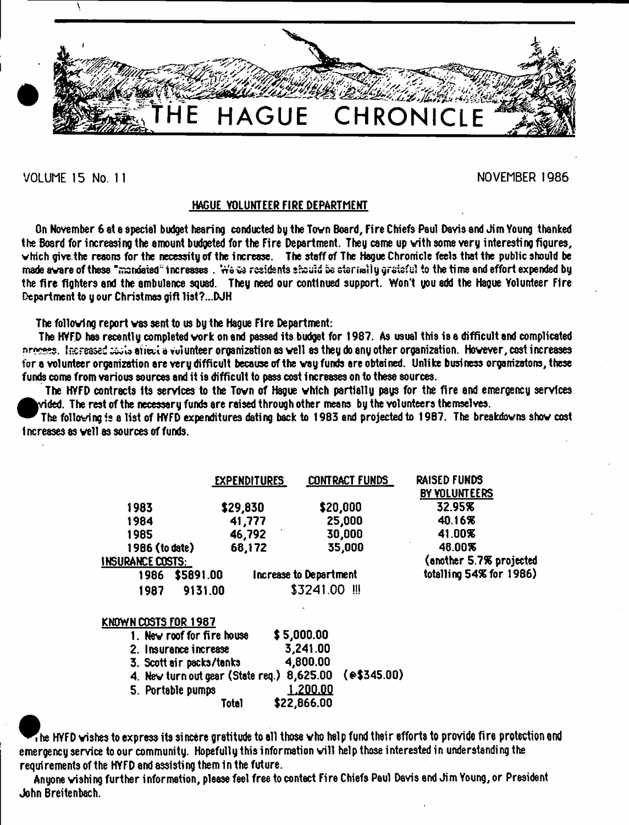

# VOLUME 15 No. 11 NOVEMBER 1986

# HAGUE VOLUNTEER FIRE DEPARTMENT

On November 6 at a special budget hearing conducted by the Town Board, Fire Chiefs Paul Davis and Jim Young thanked the Board for increasing the amount budgeted for the Fire Department. They came up with some very interesting figures, which give the resons for the necessity of the increase. The staff of The Hague Chronicle feels that the public should be made aware of these "mandated" increases . We we residents should be sterially grateful to the time and effort expended by the fire fighters and the ambulance squad. They need our continued support. Won't you add the Hague Yolunteer F1re Department to y our Christmas gift 1ist?...DJH

The following report was sent to us by the Hague Fire Department:

The HYFD has recently completed work on and passed its budget for 1987. As usual this is a difficult and complicated nrosess. Increased codis airect a vulunteer organization as well as they do any other organization. However, cost increases for a volunteer organization are very difficult because of the way funds are obtained. Unlike business organizatons, these funds come from various sources and it is difficult to pass cost increases on to these sources.

The HYFD contracts its services to the Town of Hague which partially psys for the fire and emergency services rided. The rest of the necessary funds are raised through other means by the volunteers themselves.

**A**<br>increa<br>increa The following is a list of HYFD expenditures dating back to 1983 and projected to 1987. The breakdowns show cost increases as veil as sources of funds.

|                         | <b>EXPENDITURES</b> | <b>CONTRACT FUNDS</b>         | <b>RAISED FUNDS</b><br>BY YOLUNTEERS |
|-------------------------|---------------------|-------------------------------|--------------------------------------|
| 1983                    | \$29,830            | \$20,000                      | 32.95%                               |
| 1984                    | 41,777              | 25,000                        | 40.16%                               |
| 1985                    | 46,792              | 30,000                        | 41.00%                               |
| 1986 (to date)          | 68,172              | 35,000                        | 48.00%                               |
| <b>INSURANCE COSTS:</b> |                     |                               | (another 5.7% projected              |
| \$5891.00<br>1986       |                     | <b>Increase to Department</b> | totalling 54% for 1986)              |
| 1987                    | 9131.00             | \$3241.00<br>- 111            |                                      |

# KNOWN COSTS FOR 1987

| 1. New roof for fire house                             | \$5,000.00  |  |
|--------------------------------------------------------|-------------|--|
| 2. Insurance increase                                  | 3,241.00    |  |
| 3. Scott air packs/tanks                               | 4,800.00    |  |
| 4. New turn out gear (State req.) 8,625.00 (e\$345.00) |             |  |
| 5. Portable pumps                                      | 1,200.00    |  |
| <b>Total</b>                                           | \$22,866.00 |  |

 $\bf 7$  he HYFD wishes to express its sincere gratitude to all those who help fund their efforts to provide fire protection and emergency service to our community. Hopefully this information will help those interested in understanding the requirements of the HYFD and assisting them in the future.

Anyone wishing further information, please feel free to contact Fire Chiefs Paul Davis end Jim Young, or President John Breitenbach.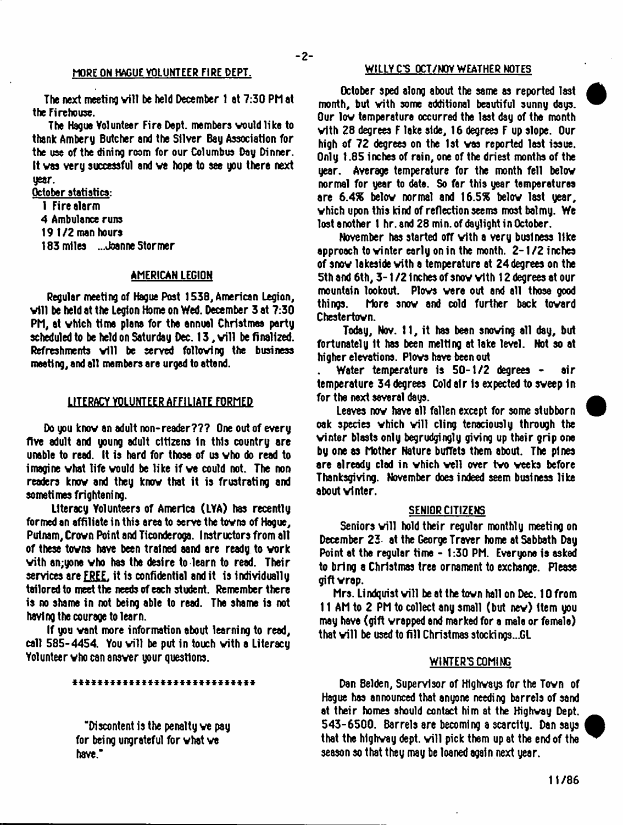#### MORE ON HAGUE VOLUNTEER FIRE DEPT.

The next meeting will be held December 1 at 7:30 PM at the Fi rehouse.

The Hague Volunteer Fire Dept, members would like to thank Ambery Butcher and the Silver Bay Association for the use of the dining room for our Columbus Day Dinner. It vas very successful and ve hope to see you there next year.

October statistics: 1 Fire alarm

4 Ambulance runs 191/2 man hours 183 miles ...Joanne Stormer

# AMERICAN LEGION

Regular meeting of Hague Post 1538, American Legion, vill be held at the Legion Home on Wed. December 3 at 7:30 PM, at vhich time plans for the annual Christmas party scheduled to be held on Saturday Dec. 13, will be finalized. Refreshments will be served following the business meeting, and all members are urged to attend.

#### LITERACY VOLUNTEER AFFILIATE FORMED

Do you know an adult non-reader??? One out of every five adult and young adult citizens in this country are unable to read. It is hard for those of us vho do read to imagine vhat life vould be like if ve could not. The non readers knov and they knov that it is frustrating and sometimes frightening.

Literacy Volunteers of America (LYA) has recently formed an affiliate in this area to serve the tovns of Hague, Putnam, Crovn Point and Ticonderoga. Instructors from all of these tovns have been trained aand are ready to vork with an; yone who has the desire to learn to read. Their services are FREE, it is confidential and it is individually tailored to meet the needs of each student. Remember there is no shame in not being able to read. The shame is not having the courage to learn.

If you vent more information about learning to read, call 585-4454. You will be put in touch with a Literacy Volunteer vho can ansver your questions.

#### \*\*\*\*\*\*\*\*\*\*\*\*\*\*\*\*\*\*\*\*\*\*\*\*\*\*\*\*

"Discontent is the penalty ve pay for being ungrateful for vhat ve have."

### WILLY C'S OCT/NOV WEATHER NOTES

October sped along about the same as reported last month, but vith some additional beautiful sunny days. Our lov temperature occurred the last day of the month vith 28 degrees F lake side, 16 degrees F up slope. Our high of 72 degrees on the 1st vas reported last issue. Only 1.85 inches of rain, one of the driest months of the year. Average temperature for the month fell below normal for year to date. So far this year temperatures are 6.4% below normal and 16.5% below last year, vhich upon this kind of reflection seems most balmy. We lost another 1 hr. and 28 min. of daylight in October.

November has started off vith a very business like approach to vinter early on in the month. 2-1/2 inches of snov lakeside vith a temperature at 24 degrees on the 5th and 6th, 3-1/2 Inches of snov vith 12 degrees at our mountain lookout. Plows were out and all those good things. More snov and cold further back tovard Chestertovn.

Today, Nov. 11, it has been snoving all day, but fortunately It has been melting at lake level. Not so at higher elevations. Plovs have been out

Water temperature is 50-1/2 degrees - air temperature 34 degrees Cold air is expected to sweep in for the next several days.

Leaves nov have all fallen except for some stubborn oak species which will cling tenaciously through the vinter blasts only begrudgingly giving up their grip one by one as Mother Nature buffets them about. The pines are already clad in vhich veil over tvo veeks before Thanksgiving. November does indeed seem business like about vinter.

#### SENIOR CITIZENS

Seniors will hold their regular monthly meeting on December 25 at the George Traver home at Sabbath Day Point at the regular time - 1:30 PM. Everyone is asked to bring a Christmas tree ornament to exchange. Please gift vrap.

Mrs. Lindquist will be at the town hall on Dec. 10 from 11 AM to 2 PM to collect any small (but nev) Item you may have (gift vrapped and marked for a male or female) that will be used to fill Christmas stockings...GL

#### WINTER'S COMING

Dan Belden, Supervisor of Hlghvays for the Tovn of Hegue has announced that anyone needing barrels of sand at their homes should contact him at the Highvay Dept. 543-6500. Barrels are becoming a scarcity. Dan says that the highway dept, will pick them up at the end of the season so that they may be loaned again next year.

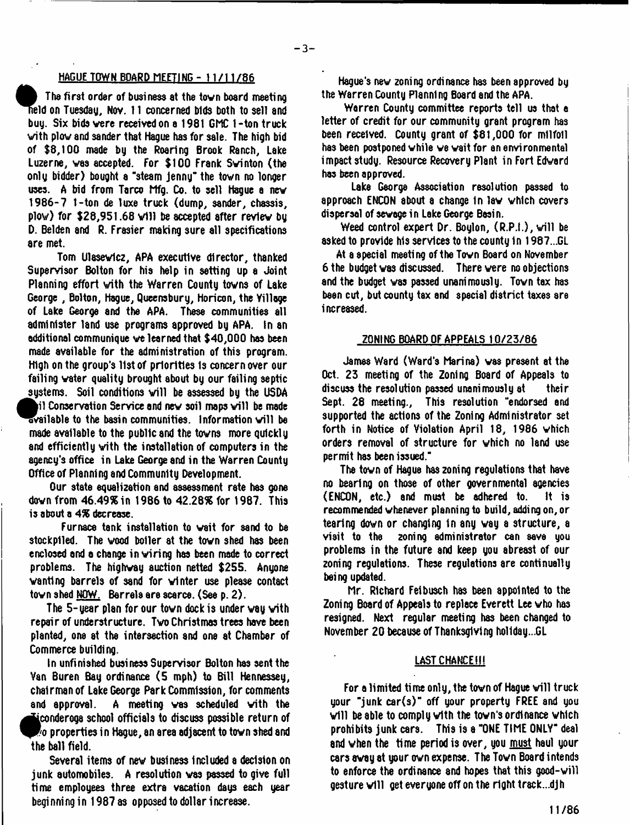# HAGUE TOWN BOARD MEETING- 11/11/86

The first order of business at the town board meeting<br>held on Tuesday, Nov. 11 concerned bids both to sell and<br>buy. Six bids were received on a 1981 GMC 1-ton truck<br>with plow and sander that Hague has for sale. The high bi Tha first order of business at the tovn board meeting Id on Tuesday, Nov. 11 concerned bids both to sell and buy. Six bidsvere received on a 1981 GMC 1-ton truck of \$8,100 made by the Roaring Brook Ranch, Lake Luzerne, vas accepted. For \$100 Frank Svinton (the only bidder) bought a "steam jenny" the tovn no longer uses. A bid from Tarco Mfg. Co. to sell Hague a new 1986-7 1-ton de luxe truck (dump, sander, chassis, plow) for \$28,951.68 will be accepted after review by D. Belden and R. Frasier making sure all specifications are met.

Tom Ulasevicz, APA executive director, thanked Supervisor Bolton for his help in setting up a Joint Planning effort vith the Warren County tovns of Lake George , Bolton, Hague, Queensbury, Horicon, the Yillage of Lake George and the APA. These communities all administer land use programs approved by APA. In an additional communique ve learned that \$40,000 has been made available for the administration of this program. High on the group's 11st of priorities Is concern over our failing vater quality brought about by our failing septic systems. Soil conditions will be assessed by the USDA  $\mathbf i$  il Conservation Service and new soil maps will be made available to the basin communities. Information will be made available to the public and the tovns more quickly and efficiently vith the installation of computers in the agency's office in Lake George and in the Warren County Office of Planning and Community Development.

Our state equalization and assessment rate has gone down from 46.49% in 1986 to 42.28% for 1987. This is about a 4% decrease.

Furnace tank installation to vait for sand to be stockpiled. The wood boiler at the town shed has been enclosed and a change in viring has been made to correct problems. The highvay auction netted \$255. Anyone vanting barrels of sand for vinter use please contact tovn shed NOW. Barrels are scarce. (See p. 2).

The 5-year plan for our town dock is under way with repair of understructure. Tvo Christmas trees have been planted, one at the intersection and one at Chamber of Commerce building.

In unfinished business Supervisor Bolton has sent the Van Buren Bay ordiranee (5 mph) to Bill Hennessey, chairman of Lake George Park Commission, for comments and approval. A meeting vas scheduled vith the ^iconderoga school officials to discuss possible return of o properties in Hague, an area adjacent to tovn shed and the ball field.

Several items of nev business Included a decision on junk automobiles. A resolution vas passed to give full time employees three extra vacation days each year beginning in 1987 as opposed to dollar increase.

Hague's nev zoning ordinance has been approved by the Warren County Planning Board and the APA.

Warren County committee reports tell us that a letter of credit for our community grant program has been received. County grant of \$81,000 for milfoil has been postponed vhile ve vait for an environmental impact study. Resource Recovery Plant in Fort Edvard has been approved.

Lake George Association resolution passed to approach ENCON about a change In lav vhich covers dispersal of sewage in Lake George Basin.

Weed control expert  $Dr.$  Boylon,  $(R.P.1.)$ , will be asked to provide his services to the county 1n 1987...GL

At a special meeting of the Town Board on November 6 the budget vas discussed. There vere no objections and the budget vas passed unanimously. Tovn tax has been cut, but county tax and special district taxes are increased.

## ZONING BOARD OF APPEALS 10/25/86

James Ward (Ward's Marina) vas present at the Oct. 23 meeting of the Zoning Board of Appeals to discuss the resolution passed unanimously at their Sept. 28 meeting., This resolution "endorsed and supported the actions of the Zoning Administrator set forth in Notice of Violation April 18, 1986 vhich orders removal of structure for vhich no land use permit has been issued."

The tovn of Hague has zoning regulations that have no bearing on those of other governmental agencies (ENCON, etc.) and must be adhered to. recommended vhenever planning to build, adding on, or tearing dovn or changing In any vay a structure, a zoning administrator can save you problems in the future and keep you abreast of our zoning regulations. These regulations are continually being updated.

Mr. Richard Feibusch has been appointed to the Zoning Board of Appeals to replace Everett Lee vho has resigned. Next regular meeting has been changed to November 20 because of Thanksgiving holiday...GL

#### LAST CHANCE !!!

For a limited time only, the town of Hague will truck your "junk car(s)" off your property FREE and you will be able to comply with the town's ordinance which prohibits junk cars. This is a "ONE TIME ONLY" deal and when the time period is over, you must haul your cars avay at your ovn expense. The Tovn Board intends to enforce the ordinance 8nd hopes that this good-vill gesture will get everyone off on the right track...dih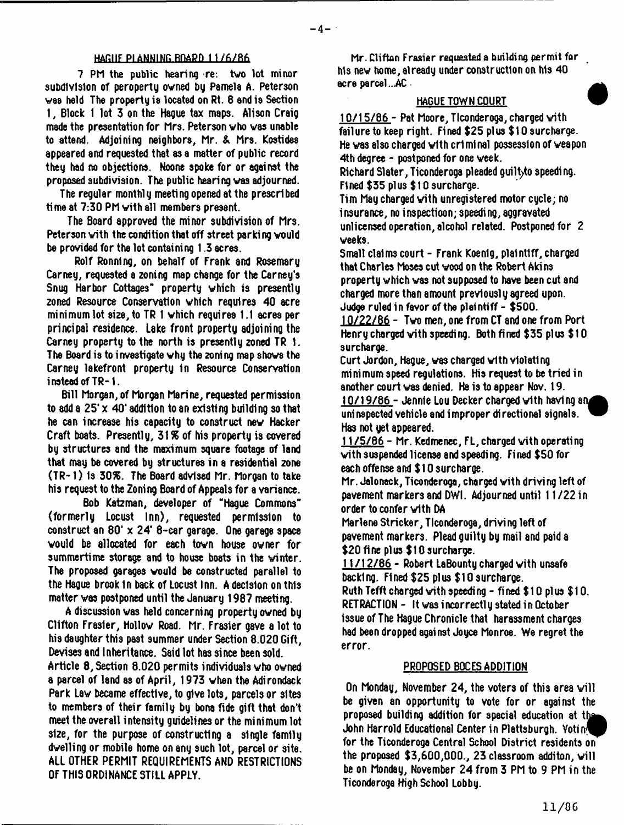#### **HAEIIF PIAMHIHG RHAPD 1 1 / 6 / B 6**

7 PM the public hearing re: two lot minor subdivision of peroperty owned by Pamela A. Peterson was held The property is located on Rt. 8 and is Section 1, Block 1 lot 3 on the Hague tax maps. Alison Craig made the presentation for Mrs. Peterson vho vas unable to attend. Adjoining neighbors, Mr. & Mrs. Kostides appeared and requested that as a matter of public record they had no objections. Noone spoke for or against the proposed subdivision. The public hearing vas adjourned.

The regular monthly meeting opened at the prescribed time at 7:30 PM vith all members present.

The Board approved the minor subdivision of Mrs. Peterson with the condition that off street parking would be provided for the lot containing 1.3 acres.

Rolf Ronnlng, on behalf of Frank and Rosemary Carney, requested a zoning map change for the Carney's Snug Harbor Cottages" property vhich is presently zoned Resource Conservation which requires 40 acre minimum lot size, to TR 1 vhich requires 1.1 acres per principal residence. Lake front property adjoining the Carney property to the north is presently zoned TR 1. The Board is to investigate why the zoning map shows the Carney lakefront property in Resource Conservation instead of TR-1.

Bill Morgan, of Morgan Marine, requested permission to add a 25'x 40' addition to an existing building so that he can increase his capacity to construct nev Hacker Craft boats. Presently, 31% of his property is covered by structures and the maximum square footage of land that may be covered by structures in a residential zone (TR-1 > Is 30%. The Board advised Mr. Morgan to take his request to the Zoning Board of Appeals for a variance.

Bob Katzman, developer of "Hague Commons" (formerly Locust Inn), requested permission to construct an 80' x 24\* 8-car garage. One garage space vould be allocated for each tovn house owner for summertime storage and to house boats in the vinter. The proposed garages vould be constructed parallel to the Hague brook in back of Locust inn. A decision on this matter vas postponed until the January 1987 meeting.

A discussion vas held concerning property owned by Clifton Frasier, Hollow Road. Mr. Frasier gave a lot to his daughter this past summer under Section 8.020 Gift, Devises and Inheritance. Said lot has since been sold.

Article 8, Section 8.020 permits individuals vho owned a parcel of land as of April, 1973 when the Adirondack Park Lav became effective, to give lots, parcels or sites to members of their family by bona fide gift that don't meet the overall intensity guidelines or the minimum lot size, for the purpose of constructing a single family dwelling or mobile home on any such lot, parcel or site. ALL OTHER PERMIT REQUIREMENTS AND RESTRICTIONS OF THIS ORDINANCE STILL APPLY.

Mr. Clifton Frasier requested a building permit for his nev home, already under construction on his 40 ecre parcel ...AC

# HAGUE TOWN COURT

10/15/86 - Pat Moore, Tlconderoga, charged vith failure to keep right. Fined \$25 plus \$10 surcharge. He vas also charged vith criminal possession of weapon 4th degree - postponed for one week.

Richard Slater, Ticonderoga pleaded guiltyto speeding. Fined \$35 plus \$10 surcharge.

Tim May charged vith unregistered motor cycle; no insurance, no inspectioon; speeding, aggravated unlicensed operation, alcohol related. Postponed for 2 weeks.

Small claims court - Frank Koenig, plaintiff, charged that Charles Moses cut wood on the Robert Akins property vhich vas not supposed to have been cut and charged more than amount previously agreed upon. Judge ruled in favor of the plaintiff - \$500.

10/22/86 - Two men, one from CT and one from Port Henry charged with speeding. Both fined \$35 plus  $$10$ surcharge.

Curt Jordon, Hague, vas charged vith violating minimum speed regulations. His request to be tried in another court vas denied. He is to appear Nov. 19.

 $10/19/86$  - Jennie Lou Decker charged with having an uninspected vehicle and improper directional signals. Has not yet appeared.

11/5/86 - Mr. Kedmenec, FL, charged vith operating vith suspended license and speeding. Fined \$50 for each offense and \$10 surcharge.

Mr. Jalonack, Ticonderoga, charged vith driving left of pavement markers and DWI. Adjourned until 11/22 in order to confer vith DA

Marlene Strieker, Ticonderoga, driving left of pavement markers. Plead guilty by mail and paid a \$20 fine plus \$10 surcharge.

11/12/86 - Robert LaBounty charged vith unsafe backing. Fined \$25 plus \$10 surcharge. Ruth Tefft charged vith speeding - fined \$10 plus \$10. RETRACTION - It vas incorrectly stated in October issue of The Hague Chronicle that harassment charges had been dropped against Joyce Monroe. We regret the error.

# PROPOSED BQCES ADDITION

On Monday, November 24, the voters of this area will be given an opportunity to vote for or against the proposed building addition for special education at the John Harrold Educational Center in Plattsburgh. Votin^P for the Ticonderoga Central School District residents on the proposed  $$3,600,000.$ , 23 classroom additon, will be on Monday, November 24 from 3 PM to 9 PM in the Ticonderoga High School Lobby.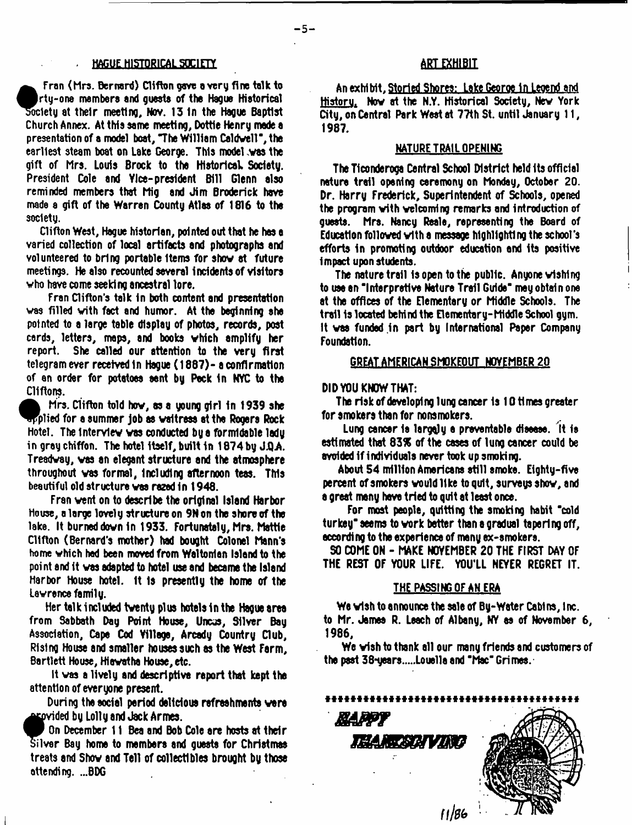#### . HAGUE HISTORICAL SOCIETY

Fran (Mrs. Bernard) Clifton gave a very fire talk to ^Arty-one members end guests of the Hague Historical society at their meeting, Nov. 13 In the Hague Baptist Church Annex. At this same meeting, Dottle Henry made a presentation of a model boat, The William Caldwell", the earliest steam boat on Lake George. This model .was the gift of Mrs. Louis Brock to the Historical Society. President Cole and Ylce- president Bill Glenn also reminded members that Mig and Jim Broderick have made a gift of the Warren County Atlas of 1816 to the society.

Clifton West, Hague historian, pointed out that he has a varied collection of local artifacts and photographs and volunteered to bring portable Items for show at future meetings. He also recounted several Incidents of visitors vho have come seeking ancestral tore.

Fran Clifton's talk in both content and presentation vas filled vith fact and humor. At the beginning she pointed to a large table display of photos, records, post cards, letters, maps, and books vhich amplify her report. She called our attention to the very first telegram ever received in Hague (1887)- a confirmation of an order for potatoes sent by Peck in NYC to the Cliftons.

Mrs. Clifton told hov, as a young girl in 1939 she  $\tt{split}$  plied for a summer job as waitress at the Rogers Rock Hotel. The Interview vas conducted by a formidable lady in gray chiffon. The hotel itself, built in 1874by J.Q.A. Treadway, vas an elegant structure and the atmosphere throughout vas formal, Including afternoon teas. This beautiful old structure vas razed In 1948.

Fran vent on to describe the original Island Harbor House, a large lovely structure on 9N on the shore of the lake. It burned down in 1933. Fortunately, Mrs. Mattie Clifton (Bernard's mother) had bought Colonel Mann's home which had been moved from Waltonton Island to the point and it vas adapted to hotel use and became the Island Harbor House hotel, it Is presently the home of the Lawrence family.

Her talk included twenty plus hotels in the Hague area from Sabbath Day Point House, Uncus, Silver Bay Association, Cape Cod Yillage, Arcady Country Club, Rising House and smaller houses such as the West Farm, Bartlett House, Hlovatha House, etc.

It vas a lively and descriptive report that kept the attention of everyone present.

During the social period delicious refreshments were 'ded by Lolly and Jack Armes.

**Exercised by Lolly and Jack Armes.**<br>
On December 11 Bea and Bob Cole are hosts at their<br>
Silver Bay home to members and guests for Christmas<br>
treats and Show and Tell of collectibles brought by those n December 11 Bea and Bob Cole are hosts at their Silver Bay home to members and quests for Christmas attending. ...BDG

# art *mm*

An exhlbit,Storied Shores: Lake Georoe In Legend and Bistoru. Nov at the N.Y. Historical Society, Nev York City, on Central Park West at 77th St. until January 11, 1987.

#### NATURE TRAIL OPENING

The Ticonderoga Central School District held Its official nature trail opening ceremony on Monday, Octobar 20. Dr. Harry Frederick, Superintendent of Schools, opened the program with welcoming remarks and introduction of quests. Mrs. Nancy Reale, representing the Board of Education followed vith a message hlghllghtl ng the school's efforts in promoting outdoor education and its positive Impact upon students.

The nature trail is open to the public. Anyone wishing to use an "Interpretive Nature Trail Guide" mey obtain one at the offices of the Elementary or Middle Schools. The trail 1s located behind the Elementary-Middle School gym. It vas funded In part by International Paper Company Foundation.

#### GREAT AMERICAN SMOKEOUT NOVEMBER 20

### DID YOU KNOW THAT:

The risk of developing lung cancer Is 10 times greater for smokers than for nonsmokers.

Lung cancer is largely a preventable disease. It is estimated that 83% of the cases of lung cancer could be avoided if individuals never took up smoking.

About 54 million Americans still smoke. Eighty-five percent of smokers would like to quit, surveys shov, and a great many have tried to quit at least once.

For most people, quitting the smoking habit "cold turkey" seems to vork bettor than a gradual tapering off, according to the experience of many ex-smokers.

SO COME ON - MAKE NOVEMBER 20 THE FIRST DAY OF THE REST OF YOUR LIFE. YOU'LL NEYER REGRET IT.

#### THE PASSING OF AN ERA

We vlsh to announce the sale of By-Weter Cabl ns, I nc. to Mr. James R. Leach of Albany, NY as of November 6, 1986,

We vfsh to thank all our many friends and customers of the past 38-years.....Louella and "Mac" Grimes. $\cdot$ 

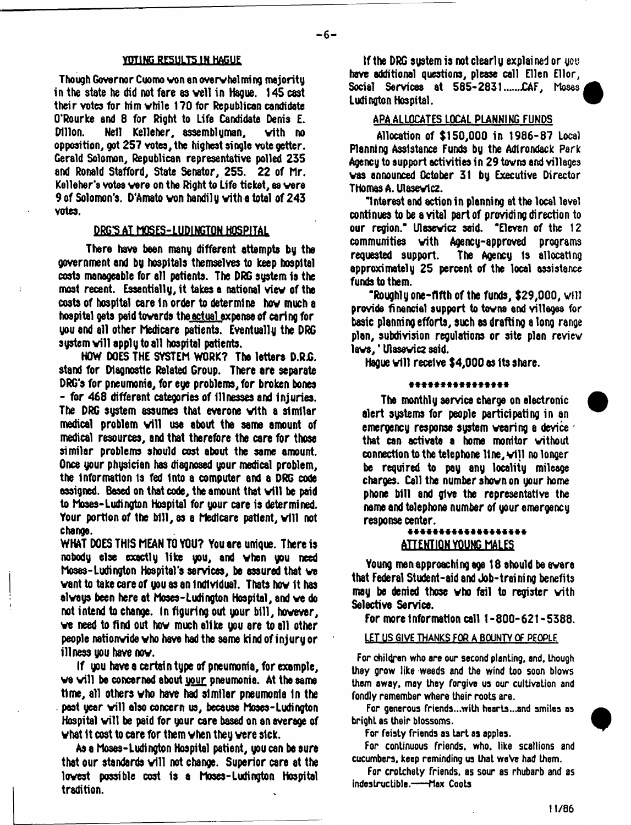#### YOTING RESULTS IN HAGUE

Though Governor Cuomo von en overwhelming majority in the state he did not fare as veil in Hague. 145 cast their votes for him vhile 170 for Republican candidate O'Rourke and 8 for Right to Life Candidate Denis £. Dillon. Nell Kelleher, assemblyman, vith no opposition, got 257 votes, the highest single vote getter. Gerald Solomon, Republican representative polled 235 and Ronald Stafford, State Senator, 255. 22 of hr. Kelleher's votes were on the Right to Life ticket, as vers 9 of Solomon's. D'Amato von handily vith a total of 243 votes.

#### **DKG'S AT HOSES-LUDIM6TQN HOSPITAL**

Thera have been many different attempts by the government and by hospitals themselves to keep hospital costs manageable for all patients. The DRG system is the most recent. Essentially, it takes a national viev of the costs of hospital care in order to determine hov much a hospital gets paid towards the actual expense of caring for you and all other Medicare patients. Eventually the DRG system will apply to all hospital patients.

HOW DOES THE SYSTEM WORK? The letters D.R.G. stand for Diagnostic Related Group. There are separate DRG's for pneumonia, for eye problems, for broken bones - for 468 different categories of illnesses and injuries. The DRG system assumes that everone vith a similar medical problem will use about the same amount of medical resources, and that therefore the care for those similar problems should cost about the same amount. Once your physician has disgnosed your medical problem. the information is fed into a computer and a DRG code assigned. Based on that code, the amount that will be paid to Moses-Ludington Hospital for your care is determined. Your portion of the bill, as a Medicare patient, will not change.

WHAT DOES THIS MEAN TO YOU? You are unique. There is nobody else exactly like you, and vhen you need Moses-Ludington Hospital's services, be assured that ve want to take care of you as an individual. Thats how it has always been here at Moses-Ludington Hospital, and ve do not intend to change. In figuring out your bill, however, ve need to find out hov much alike you are to all other people nationwide vho have had the same kind of injury or illness you have nev.

If you have a certain type of pneumonia, for example, we will be concerned about your pneumonia. At the same time, all others vho have had similar pneumonia In the pest year will also concern us, because Moses-Ludington Hospital will be paid for your care based on an average of vhat 1t cost to care for them vhen they were sick.

As a Moses-Ludington Hospital patient, you can be sure that our standards will not change. Superior care at the lowest possible cost is a Moses-Ludington Hospital tradition.

If the DRG system is not clearly explained or you have additional questions, please call Ellen Ellor, Social Services at 585-2831......CAF, Moses Ludington Hospital.

# APA ALLOCATES LOCAL PLANNING FUNDS

Allocation of \$150,000 in 1986-87 Local Planning Assistance Funds by the Adirondack Park Agency to support activities in 29 tovns and villages vas announced October 31 by Executive Director THomasA. Ulasevtcz.

"Interest end action in planning at the local level continues to be a vital part of providing direction to our region." Ulasevicz said. "Eleven of the 12 communities vith Agency-approved programs The Agency is allocating. approximately 25 percent of the local assistance funds to them.

"Roughly one-fifth of the funds, \$29,000, will provide financial support to tovna end villages for basic planning efforts, such as drafting a long range plan, subdivision regulations or site plan review lavs,' Ulasevicz said.

Haque will receive \$4,000 as its share.

#### \*\*\*\*\*\*\*\*\*\*\*\*\*\*\*\*

The monthly service charge on electronic alert systems for people participating in an emergency response system veering a device ' that can activate a home monitor without connection to the telephone line, will no longer be required to pay any locality mileage charges. Call the number shown on your home phone bill and give the representative the name and telephone number of your emergency response center.<br>\*\*\*\*\*\*\*\*\*\*\*\*\*\*\*\*\*\*\*\*\*

# **ATTENTION YOUNG MALES**

Young men approaching age 18 should be evere that Federal Student-aid and Job-training benefits may be denied those vho fail to register vith Selective Service.

For more Information call 1-800-621-5388.

#### LET US GIVE THANKS FOR A BOUNTY OF PEOPLE

For children who are our second planting, and, though they grow like weeds and the wind too soon blows them away, may they forgive us our cultivation and fondly remember where their roots are.

For generous friends...with hearts...and smiles as bright as their blossoms.

For feisty friends as tart as apples.

For continuous friends, who. like scallions and cucumbers, keep reminding us that weVe had them.

For crotchety friends, as sour as rhubarb and as indestructible.----Max Coots

M/86



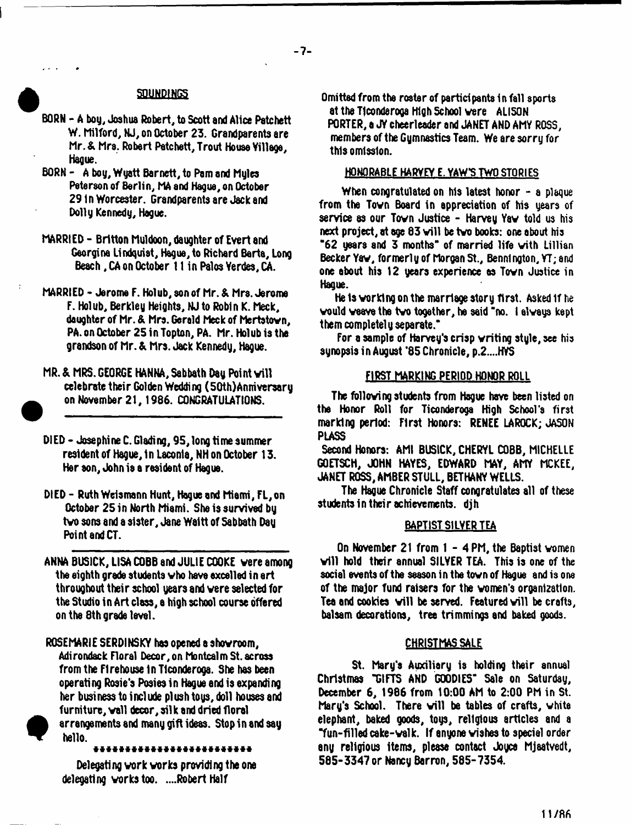#### **SOUNDINGS**

- BORN A boy, Joshua Robert, to Scott and Alice Patchett W. Milford, NJ, on October 23. Grandparents are Mr. & Mrs. Robert Patchett, Trout Houae Village, Hague.
- BORN A boy, Wyatt Barnett, to Pam and Myles Peterson of Berlin, MA and Hague, on October 29 in Worcester. Grandparents are Jack and Dolly Kennedy, Hague.
- MARRIED Britton Muldoon, daughter of Evert and Georgina Lindquist, Hague, to Richard Berta, Long Beach, CA on October 11 in Palos Verdes, CA.
- MARRIED Jerome F. Holub, son of Mr. & Mrs. Jerome F. Holub, Berkley Heights, NJ to Robin K. Meek, daughter of Mr. & Mrs. Gerald Meck of Mertstown, PA. on October 25 in Topton, PA. Mr. Holub is the grandson of Mr. & Mrs. Jack Kennedy, Hague.
- MR. & MRS. GEORGE HANNA, Sabbath Dau Point will celebrate their Golden Wedding (50th)Anniversary on November 21,1986. CONGRATULATIONS.
- DIED Josephine C. Glading, 95, long time summer resident of Hague, In Laconia, NH on October 13. Her son, John is a resident of Hague.
- DIED Ruth Weismann Hunt, Hague and Miami, FL, on October 25 in North Miami. She is survived by tvo sons and a sister, Jane Waltt of Sabbath Day Point and CT.
- ANNA BUSICK, LISA COBB and JULIE COOKE were among the eighth grade students vho have excelled in art throughout their school years and vere selected for the Studio in Art class, a high school course offered on the 8th grade level.

ROSEMARIE SERDINSKY has opened a shov room, Adirondack Floral Decor, on Montcalm St. across from the FI rehouse In Ticonderoga. She has been operating Rosie's Posies in Hague and is expanding her business to include plush toys, doll houses and furniture, wall decor, silk and dried floral arrangements and many gift ideas. Stop in and say hello.

Delegating vork works providing the one delegating works too. ....Robert Half

**\***

Omitted from the roster of participants In fall sports at the Ticonderoga High School vere ALISON PORTER, e JY cheerleader and JANET AND AMY ROSS, members of the Gymnastics Team. We ere sorry for this omission.

# HONORABLE HARVEY E. YAW'S TWO STORIES

When congratulated on his latest honor  $-$  a plaque from the Town Board in appreciation of his years of service as our Tovn Justice - Harvey Yav told us his next project, at age 83 will be two books: one about his \*62 years and 3 months" of married life vith Lillian Becker Yaw, formerly of Morgan St., Bennington, YT; and one about his 12 years experience as Tovn Justice in Hague.

He Is vorklng on the marriage story first. Asked if he vould veave the tvo together, he said "no. I always kept them completely separate."

For a sample of Harvey's crisp vriting style, see his synopsis in August '85 Chronicle, p.2....HYS

### FIRST MARKING PERIOD HONOR ROLL

The following students from Hague have been listed on the Honor Roll for Ticonderoga High School's first marking period: First Honors: RENEE LAROCK; JASON PLASS

Second Honors: AMI BUSICK, CHERYL COBB, MICHELLE GQETSCH, JOHN HAYES, EDWARD MAY, AMY MCKEE, JANET ROSS, AMBER STULL, BETHANY WELLS,

The Hague Chronicle Staff congratulates all of these students in their achievements, djh

#### BAPTIST SILVER TEA

On November 21 from 1 - 4 PM, the Baptist vomen will hold their annual SILYER TEA. This is one of the social events of the season in the town of Hague and is one of the major fund raisers for the vomen's organization. Tea and cookies will be served. Featured will be crafts, balsam decorations, tree trimmings and baked goods.

#### CHRISTMAS SALE

St. Mary's Auxiliary is holding their annual Christmas "GIFTS AND GOODIES" Sale on Saturday, December 6, 1986 from 10:00 AM to 2:00 PM in St. Mary's School. There will be tables of crafts, white elephant, baked goods, toys, religious articles and a "fun-filled cake-valk. If anyone vishea to special order any religious items, please contact Joyce Mjaatvedt, 585-3347 or Nancy Barron, 585-7354.